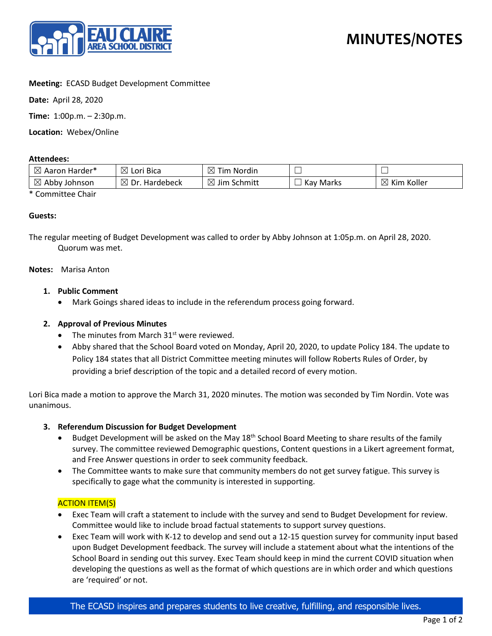

## **Meeting:** ECASD Budget Development Committee

**Date:** April 28, 2020

**Time:** 1:00p.m. – 2:30p.m.

**Location:** Webex/Online

#### **Attendees:**

| $\boxtimes$<br>Aaron Harder*   | $\boxtimes$<br>Lori Bica        | ⊠<br>Tim Nordin              |           | _                         |
|--------------------------------|---------------------------------|------------------------------|-----------|---------------------------|
| $\boxtimes$<br>Abby<br>Johnson | $\boxtimes$<br>Dr.<br>Hardebeck | $\boxtimes$<br>' Jim Schmitt | Kay Marks | $\boxtimes$<br>Kim Koller |

\* Committee Chair

## **Guests:**

The regular meeting of Budget Development was called to order by Abby Johnson at 1:05p.m. on April 28, 2020. Quorum was met.

#### **Notes:** Marisa Anton

## **1. Public Comment**

• Mark Goings shared ideas to include in the referendum process going forward.

## **2. Approval of Previous Minutes**

- The minutes from March  $31<sup>st</sup>$  were reviewed.
- Abby shared that the School Board voted on Monday, April 20, 2020, to update Policy 184. The update to Policy 184 states that all District Committee meeting minutes will follow Roberts Rules of Order, by providing a brief description of the topic and a detailed record of every motion.

Lori Bica made a motion to approve the March 31, 2020 minutes. The motion was seconded by Tim Nordin. Vote was unanimous.

## **3. Referendum Discussion for Budget Development**

- Budget Development will be asked on the May 18<sup>th</sup> School Board Meeting to share results of the family survey. The committee reviewed Demographic questions, Content questions in a Likert agreement format, and Free Answer questions in order to seek community feedback.
- The Committee wants to make sure that community members do not get survey fatigue. This survey is specifically to gage what the community is interested in supporting.

## ACTION ITEM(S)

- Exec Team will craft a statement to include with the survey and send to Budget Development for review. Committee would like to include broad factual statements to support survey questions.
- Exec Team will work with K-12 to develop and send out a 12-15 question survey for community input based upon Budget Development feedback. The survey will include a statement about what the intentions of the School Board in sending out this survey. Exec Team should keep in mind the current COVID situation when developing the questions as well as the format of which questions are in which order and which questions are 'required' or not.